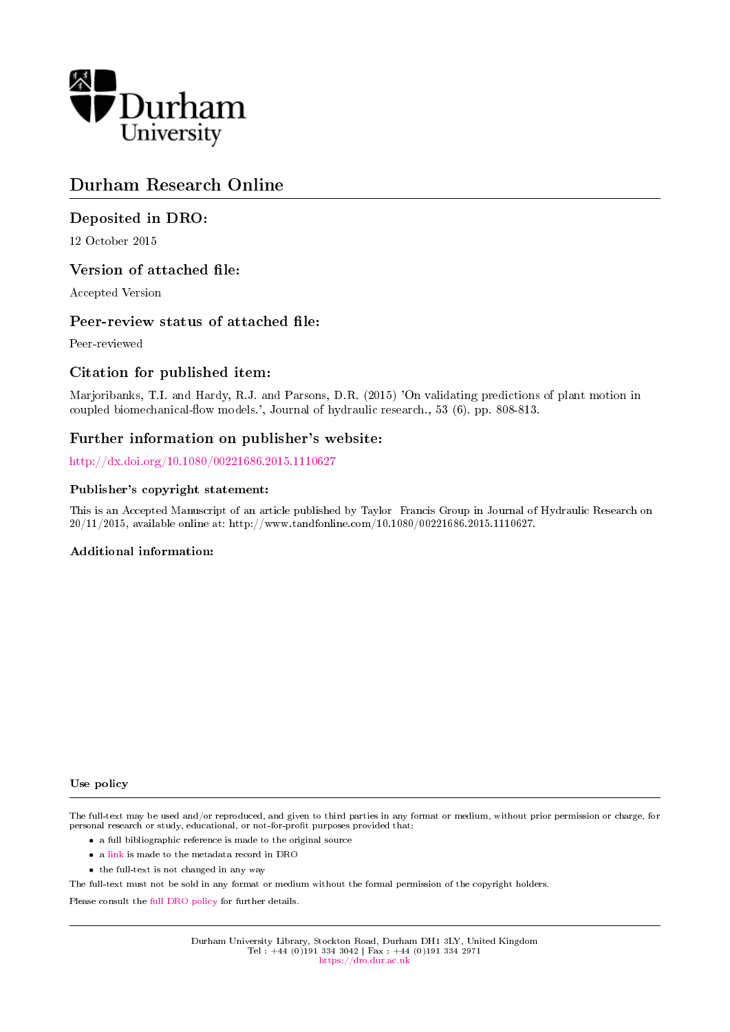

# Durham Research Online

# Deposited in DRO:

12 October 2015

# Version of attached file:

Accepted Version

# Peer-review status of attached file:

Peer-reviewed

# Citation for published item:

Marjoribanks, T.I. and Hardy, R.J. and Parsons, D.R. (2015) 'On validating predictions of plant motion in coupled biomechanical-flow models.', Journal of hydraulic research., 53 (6). pp. 808-813.

# Further information on publisher's website:

<http://dx.doi.org/10.1080/00221686.2015.1110627>

### Publisher's copyright statement:

This is an Accepted Manuscript of an article published by Taylor Francis Group in Journal of Hydraulic Research on 20/11/2015, available online at: http://www.tandfonline.com/10.1080/00221686.2015.1110627.

# Additional information:

Use policy

The full-text may be used and/or reproduced, and given to third parties in any format or medium, without prior permission or charge, for personal research or study, educational, or not-for-profit purposes provided that:

- a full bibliographic reference is made to the original source
- a [link](http://dro.dur.ac.uk/16575/) is made to the metadata record in DRO
- the full-text is not changed in any way

The full-text must not be sold in any format or medium without the formal permission of the copyright holders.

Please consult the [full DRO policy](https://dro.dur.ac.uk/policies/usepolicy.pdf) for further details.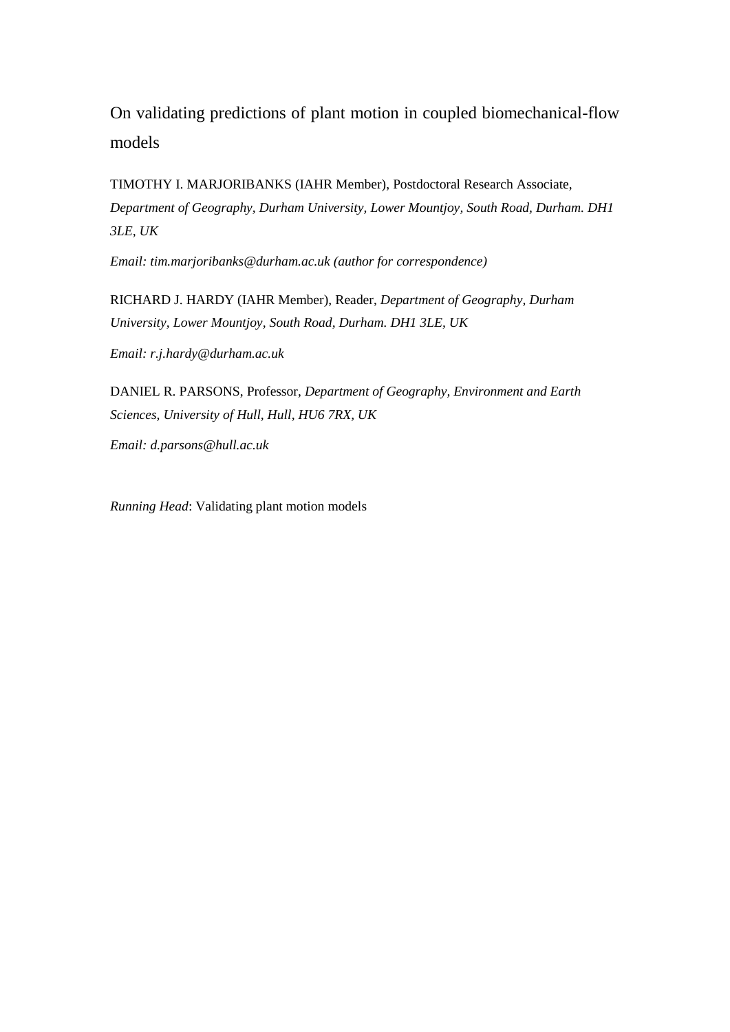On validating predictions of plant motion in coupled biomechanical-flow models

TIMOTHY I. MARJORIBANKS (IAHR Member), Postdoctoral Research Associate, *Department of Geography, Durham University, Lower Mountjoy, South Road, Durham. DH1 3LE, UK*

*Email: tim.marjoribanks@durham.ac.uk (author for correspondence)*

RICHARD J. HARDY (IAHR Member), Reader, *Department of Geography, Durham University, Lower Mountjoy, South Road, Durham. DH1 3LE, UK*

*Email: r.j.hardy@durham.ac.uk* 

DANIEL R. PARSONS, Professor, *Department of Geography, Environment and Earth Sciences, University of Hull, Hull, HU6 7RX, UK*

*Email: d.parsons@hull.ac.uk*

*Running Head*: Validating plant motion models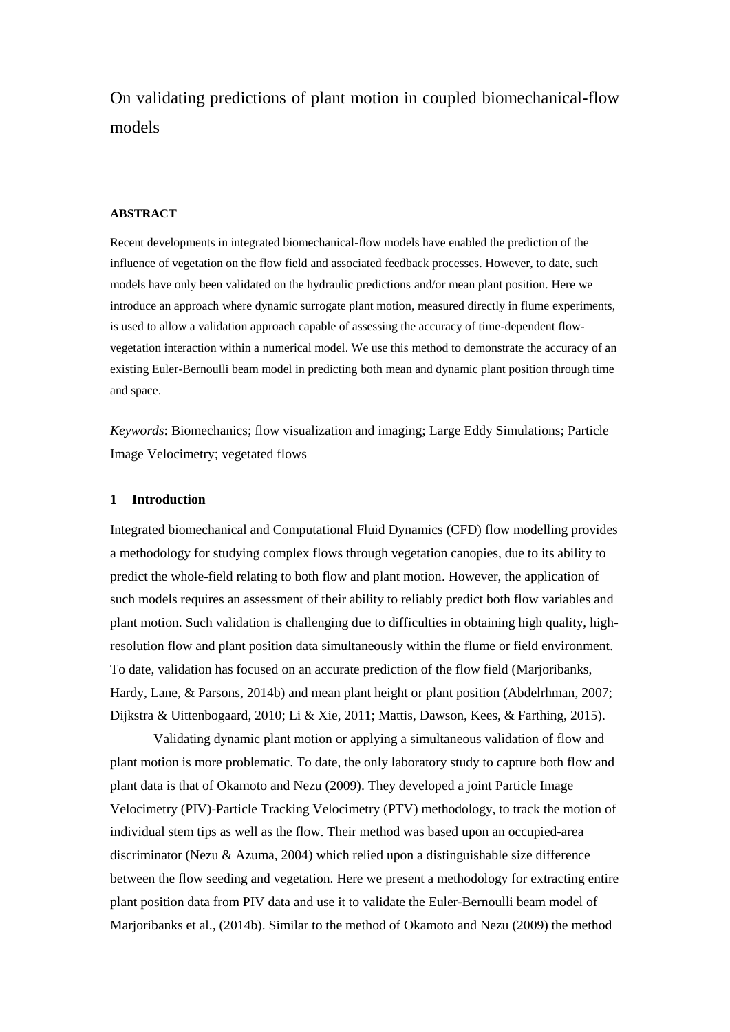On validating predictions of plant motion in coupled biomechanical-flow models

### **ABSTRACT**

Recent developments in integrated biomechanical-flow models have enabled the prediction of the influence of vegetation on the flow field and associated feedback processes. However, to date, such models have only been validated on the hydraulic predictions and/or mean plant position. Here we introduce an approach where dynamic surrogate plant motion, measured directly in flume experiments, is used to allow a validation approach capable of assessing the accuracy of time-dependent flowvegetation interaction within a numerical model. We use this method to demonstrate the accuracy of an existing Euler-Bernoulli beam model in predicting both mean and dynamic plant position through time and space.

*Keywords*: Biomechanics; flow visualization and imaging; Large Eddy Simulations; Particle Image Velocimetry; vegetated flows

#### **1 Introduction**

Integrated biomechanical and Computational Fluid Dynamics (CFD) flow modelling provides a methodology for studying complex flows through vegetation canopies, due to its ability to predict the whole-field relating to both flow and plant motion. However, the application of such models requires an assessment of their ability to reliably predict both flow variables and plant motion. Such validation is challenging due to difficulties in obtaining high quality, highresolution flow and plant position data simultaneously within the flume or field environment. To date, validation has focused on an accurate prediction of the flow field [\(Marjoribanks,](#page-9-0)  [Hardy, Lane, & Parsons, 2014b\)](#page-9-0) and mean plant height or plant position [\(Abdelrhman, 2007;](#page-9-1) [Dijkstra & Uittenbogaard, 2010;](#page-9-2) [Li & Xie, 2011;](#page-9-3) [Mattis, Dawson, Kees, & Farthing, 2015\)](#page-9-4).

Validating dynamic plant motion or applying a simultaneous validation of flow and plant motion is more problematic. To date, the only laboratory study to capture both flow and plant data is that of Okamoto and Nezu [\(2009\)](#page-10-0). They developed a joint Particle Image Velocimetry (PIV)-Particle Tracking Velocimetry (PTV) methodology, to track the motion of individual stem tips as well as the flow. Their method was based upon an occupied-area discriminator [\(Nezu & Azuma, 2004\)](#page-10-1) which relied upon a distinguishable size difference between the flow seeding and vegetation. Here we present a methodology for extracting entire plant position data from PIV data and use it to validate the Euler-Bernoulli beam model of Marjoribanks et al.*,* (2014b). Similar to the method of Okamoto and Nezu [\(2009\)](#page-10-0) the method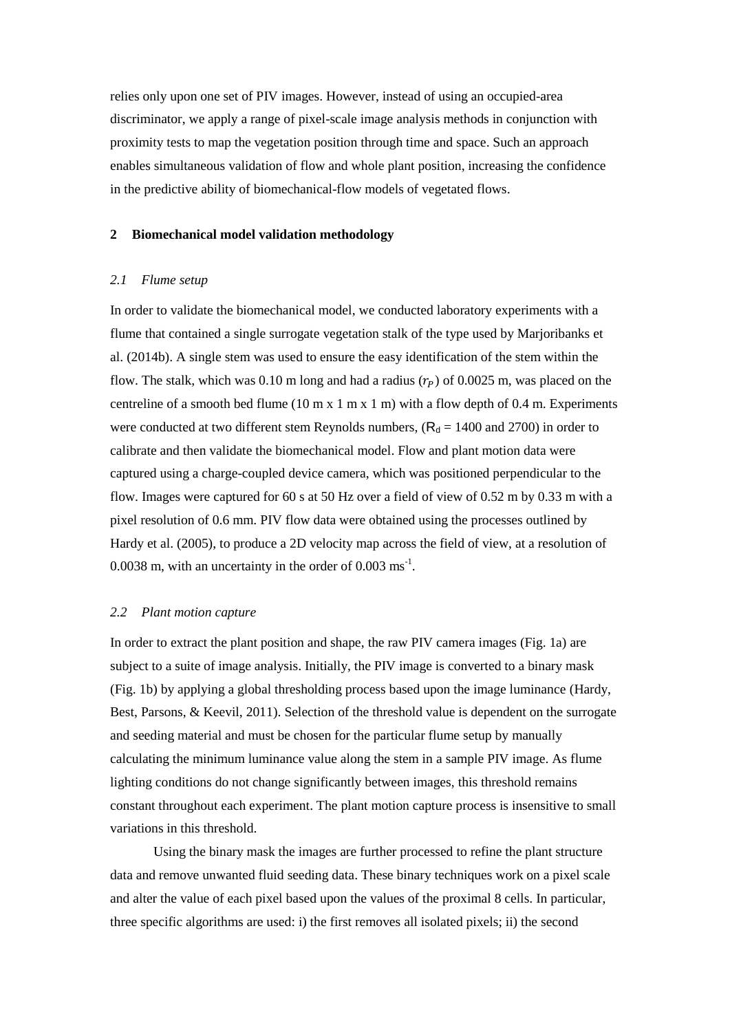relies only upon one set of PIV images. However, instead of using an occupied-area discriminator, we apply a range of pixel-scale image analysis methods in conjunction with proximity tests to map the vegetation position through time and space. Such an approach enables simultaneous validation of flow and whole plant position, increasing the confidence in the predictive ability of biomechanical-flow models of vegetated flows.

# **2 Biomechanical model validation methodology**

#### *2.1 Flume setup*

In order to validate the biomechanical model, we conducted laboratory experiments with a flume that contained a single surrogate vegetation stalk of the type used by Marjoribanks et al. (2014b). A single stem was used to ensure the easy identification of the stem within the flow. The stalk, which was 0.10 m long and had a radius  $(r_p)$  of 0.0025 m, was placed on the centreline of a smooth bed flume  $(10 \text{ m x } 1 \text{ m x } 1 \text{ m})$  with a flow depth of 0.4 m. Experiments were conducted at two different stem Reynolds numbers,  $(R_d = 1400$  and 2700) in order to calibrate and then validate the biomechanical model. Flow and plant motion data were captured using a charge-coupled device camera, which was positioned perpendicular to the flow. Images were captured for 60 s at 50 Hz over a field of view of 0.52 m by 0.33 m with a pixel resolution of 0.6 mm. PIV flow data were obtained using the processes outlined by Hardy et al. [\(2005\)](#page-9-5), to produce a 2D velocity map across the field of view, at a resolution of 0.0038 m, with an uncertainty in the order of  $0.003 \text{ ms}^{-1}$ .

### *2.2 Plant motion capture*

In order to extract the plant position and shape, the raw PIV camera images (Fig. 1a) are subject to a suite of image analysis. Initially, the PIV image is converted to a binary mask (Fig. 1b) by applying a global thresholding process based upon the image luminance [\(Hardy,](#page-9-6)  [Best, Parsons, & Keevil, 2011\)](#page-9-6). Selection of the threshold value is dependent on the surrogate and seeding material and must be chosen for the particular flume setup by manually calculating the minimum luminance value along the stem in a sample PIV image. As flume lighting conditions do not change significantly between images, this threshold remains constant throughout each experiment. The plant motion capture process is insensitive to small variations in this threshold.

Using the binary mask the images are further processed to refine the plant structure data and remove unwanted fluid seeding data. These binary techniques work on a pixel scale and alter the value of each pixel based upon the values of the proximal 8 cells. In particular, three specific algorithms are used: i) the first removes all isolated pixels; ii) the second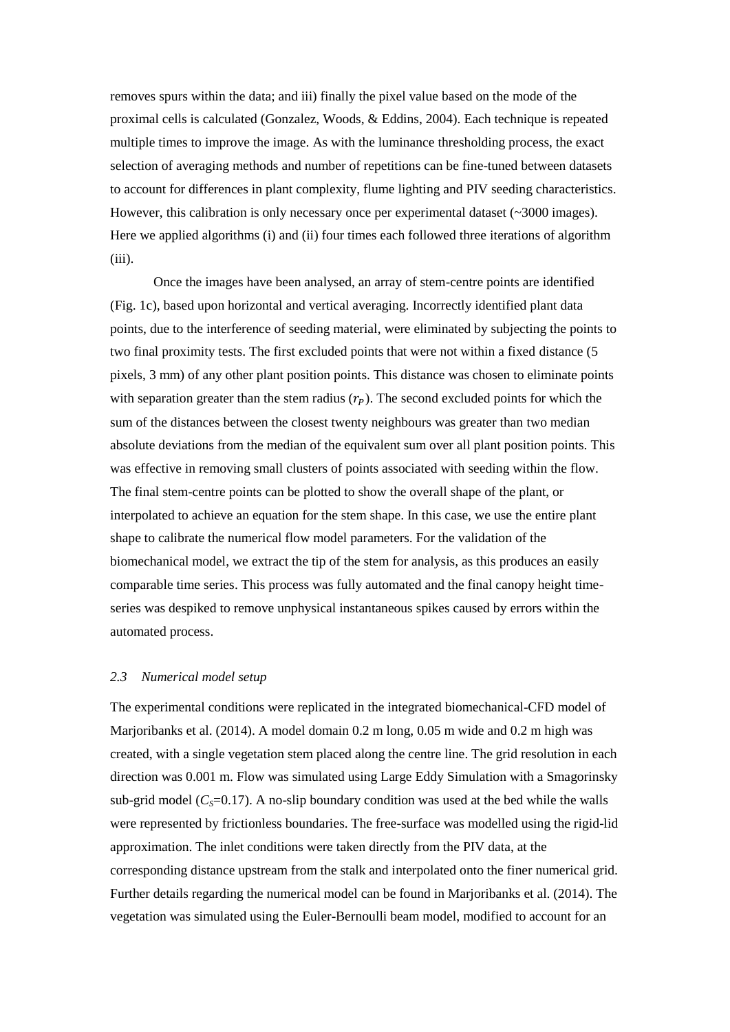removes spurs within the data; and iii) finally the pixel value based on the mode of the proximal cells is calculated [\(Gonzalez, Woods, & Eddins, 2004\)](#page-9-7). Each technique is repeated multiple times to improve the image. As with the luminance thresholding process, the exact selection of averaging methods and number of repetitions can be fine-tuned between datasets to account for differences in plant complexity, flume lighting and PIV seeding characteristics. However, this calibration is only necessary once per experimental dataset (~3000 images). Here we applied algorithms (i) and (ii) four times each followed three iterations of algorithm  $(iii)$ .

Once the images have been analysed, an array of stem-centre points are identified (Fig. 1c), based upon horizontal and vertical averaging. Incorrectly identified plant data points, due to the interference of seeding material, were eliminated by subjecting the points to two final proximity tests. The first excluded points that were not within a fixed distance (5 pixels, 3 mm) of any other plant position points. This distance was chosen to eliminate points with separation greater than the stem radius  $(r<sub>p</sub>)$ . The second excluded points for which the sum of the distances between the closest twenty neighbours was greater than two median absolute deviations from the median of the equivalent sum over all plant position points. This was effective in removing small clusters of points associated with seeding within the flow. The final stem-centre points can be plotted to show the overall shape of the plant, or interpolated to achieve an equation for the stem shape. In this case, we use the entire plant shape to calibrate the numerical flow model parameters. For the validation of the biomechanical model, we extract the tip of the stem for analysis, as this produces an easily comparable time series. This process was fully automated and the final canopy height timeseries was despiked to remove unphysical instantaneous spikes caused by errors within the automated process.

# *2.3 Numerical model setup*

The experimental conditions were replicated in the integrated biomechanical-CFD model of Marjoribanks et al. (2014). A model domain 0.2 m long, 0.05 m wide and 0.2 m high was created, with a single vegetation stem placed along the centre line. The grid resolution in each direction was 0.001 m. Flow was simulated using Large Eddy Simulation with a Smagorinsky sub-grid model ( $C<sub>S</sub>=0.17$ ). A no-slip boundary condition was used at the bed while the walls were represented by frictionless boundaries. The free-surface was modelled using the rigid-lid approximation. The inlet conditions were taken directly from the PIV data, at the corresponding distance upstream from the stalk and interpolated onto the finer numerical grid. Further details regarding the numerical model can be found in Marjoribanks et al. (2014). The vegetation was simulated using the Euler-Bernoulli beam model, modified to account for an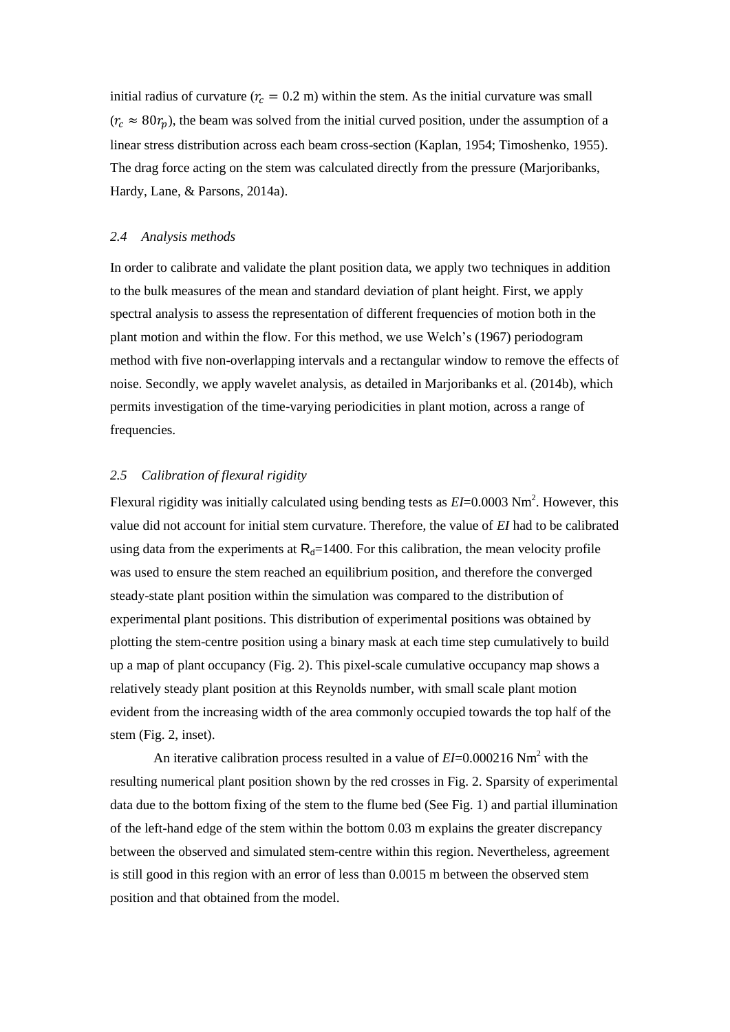initial radius of curvature ( $r_c = 0.2$  m) within the stem. As the initial curvature was small  $(r_c \approx 80r_p)$ , the beam was solved from the initial curved position, under the assumption of a linear stress distribution across each beam cross-section [\(Kaplan, 1954;](#page-9-8) [Timoshenko, 1955\)](#page-10-2). The drag force acting on the stem was calculated directly from the pressure [\(Marjoribanks,](#page-9-9)  [Hardy, Lane, & Parsons, 2014a\)](#page-9-9).

### *2.4 Analysis methods*

In order to calibrate and validate the plant position data, we apply two techniques in addition to the bulk measures of the mean and standard deviation of plant height. First, we apply spectral analysis to assess the representation of different frequencies of motion both in the plant motion and within the flow. For this method, we use Welch's [\(1967\)](#page-10-3) periodogram method with five non-overlapping intervals and a rectangular window to remove the effects of noise. Secondly, we apply wavelet analysis, as detailed in Marjoribanks et al. (2014b), which permits investigation of the time-varying periodicities in plant motion, across a range of frequencies.

# *2.5 Calibration of flexural rigidity*

Flexural rigidity was initially calculated using bending tests as  $EI=0.0003$  Nm<sup>2</sup>. However, this value did not account for initial stem curvature. Therefore, the value of *EI* had to be calibrated using data from the experiments at  $R_d=1400$ . For this calibration, the mean velocity profile was used to ensure the stem reached an equilibrium position, and therefore the converged steady-state plant position within the simulation was compared to the distribution of experimental plant positions. This distribution of experimental positions was obtained by plotting the stem-centre position using a binary mask at each time step cumulatively to build up a map of plant occupancy (Fig. 2). This pixel-scale cumulative occupancy map shows a relatively steady plant position at this Reynolds number, with small scale plant motion evident from the increasing width of the area commonly occupied towards the top half of the stem (Fig. 2, inset).

An iterative calibration process resulted in a value of *EI*=0.000216 Nm<sup>2</sup> with the resulting numerical plant position shown by the red crosses in Fig. 2. Sparsity of experimental data due to the bottom fixing of the stem to the flume bed (See Fig. 1) and partial illumination of the left-hand edge of the stem within the bottom 0.03 m explains the greater discrepancy between the observed and simulated stem-centre within this region. Nevertheless, agreement is still good in this region with an error of less than 0.0015 m between the observed stem position and that obtained from the model.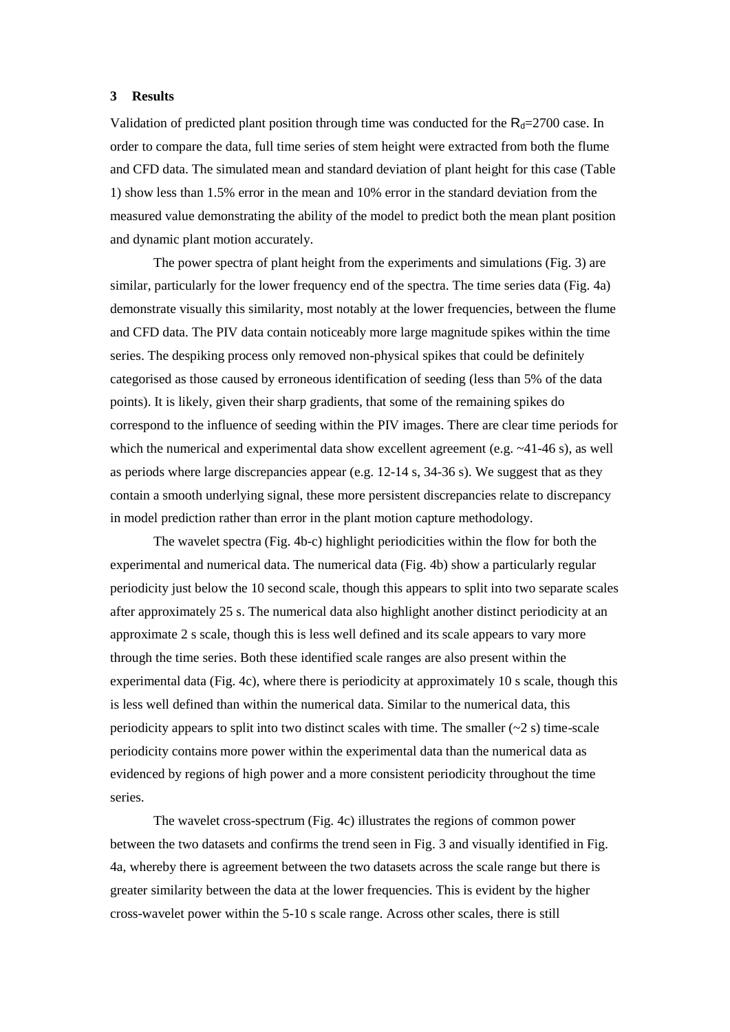#### **3 Results**

Validation of predicted plant position through time was conducted for the  $R<sub>d</sub>=2700$  case. In order to compare the data, full time series of stem height were extracted from both the flume and CFD data. The simulated mean and standard deviation of plant height for this case (Table 1) show less than 1.5% error in the mean and 10% error in the standard deviation from the measured value demonstrating the ability of the model to predict both the mean plant position and dynamic plant motion accurately.

The power spectra of plant height from the experiments and simulations (Fig. 3) are similar, particularly for the lower frequency end of the spectra. The time series data (Fig. 4a) demonstrate visually this similarity, most notably at the lower frequencies, between the flume and CFD data. The PIV data contain noticeably more large magnitude spikes within the time series. The despiking process only removed non-physical spikes that could be definitely categorised as those caused by erroneous identification of seeding (less than 5% of the data points). It is likely, given their sharp gradients, that some of the remaining spikes do correspond to the influence of seeding within the PIV images. There are clear time periods for which the numerical and experimental data show excellent agreement (e.g.  $~41-46$  s), as well as periods where large discrepancies appear (e.g. 12-14 s, 34-36 s). We suggest that as they contain a smooth underlying signal, these more persistent discrepancies relate to discrepancy in model prediction rather than error in the plant motion capture methodology.

The wavelet spectra (Fig. 4b-c) highlight periodicities within the flow for both the experimental and numerical data. The numerical data (Fig. 4b) show a particularly regular periodicity just below the 10 second scale, though this appears to split into two separate scales after approximately 25 s. The numerical data also highlight another distinct periodicity at an approximate 2 s scale, though this is less well defined and its scale appears to vary more through the time series. Both these identified scale ranges are also present within the experimental data (Fig. 4c), where there is periodicity at approximately 10 s scale, though this is less well defined than within the numerical data. Similar to the numerical data, this periodicity appears to split into two distinct scales with time. The smaller  $(\sim 2 \text{ s})$  time-scale periodicity contains more power within the experimental data than the numerical data as evidenced by regions of high power and a more consistent periodicity throughout the time series.

The wavelet cross-spectrum (Fig. 4c) illustrates the regions of common power between the two datasets and confirms the trend seen in Fig. 3 and visually identified in Fig. 4a, whereby there is agreement between the two datasets across the scale range but there is greater similarity between the data at the lower frequencies. This is evident by the higher cross-wavelet power within the 5-10 s scale range. Across other scales, there is still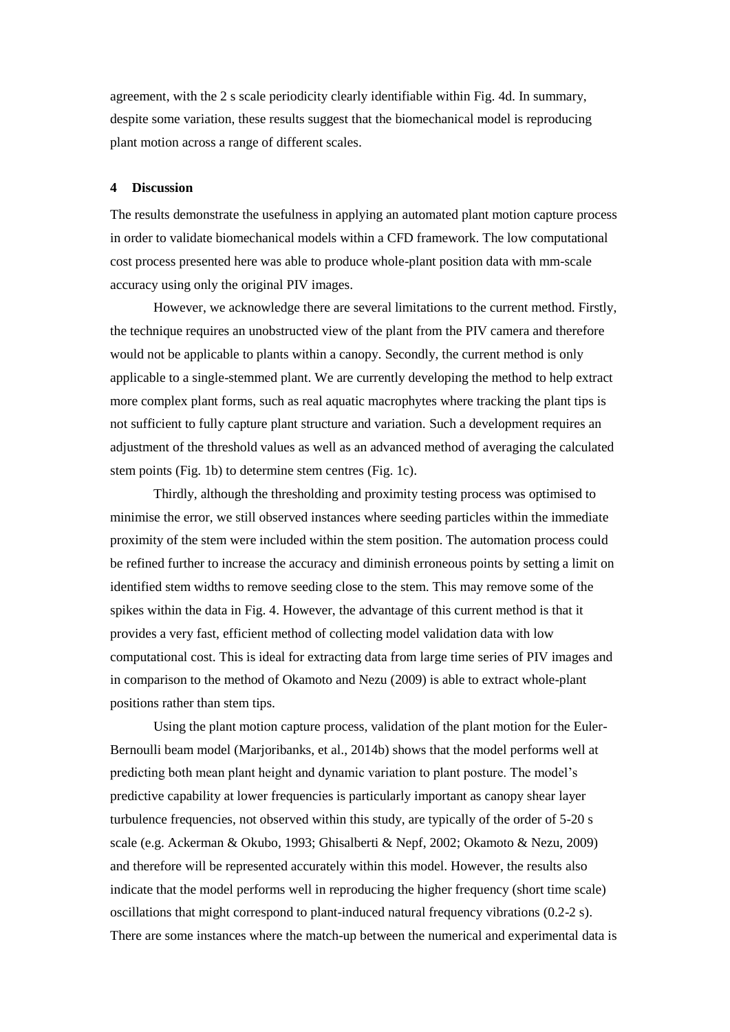agreement, with the 2 s scale periodicity clearly identifiable within Fig. 4d. In summary, despite some variation, these results suggest that the biomechanical model is reproducing plant motion across a range of different scales.

#### **4 Discussion**

The results demonstrate the usefulness in applying an automated plant motion capture process in order to validate biomechanical models within a CFD framework. The low computational cost process presented here was able to produce whole-plant position data with mm-scale accuracy using only the original PIV images.

However, we acknowledge there are several limitations to the current method. Firstly, the technique requires an unobstructed view of the plant from the PIV camera and therefore would not be applicable to plants within a canopy. Secondly, the current method is only applicable to a single-stemmed plant. We are currently developing the method to help extract more complex plant forms, such as real aquatic macrophytes where tracking the plant tips is not sufficient to fully capture plant structure and variation. Such a development requires an adjustment of the threshold values as well as an advanced method of averaging the calculated stem points (Fig. 1b) to determine stem centres (Fig. 1c).

Thirdly, although the thresholding and proximity testing process was optimised to minimise the error, we still observed instances where seeding particles within the immediate proximity of the stem were included within the stem position. The automation process could be refined further to increase the accuracy and diminish erroneous points by setting a limit on identified stem widths to remove seeding close to the stem. This may remove some of the spikes within the data in Fig. 4. However, the advantage of this current method is that it provides a very fast, efficient method of collecting model validation data with low computational cost. This is ideal for extracting data from large time series of PIV images and in comparison to the method of Okamoto and Nezu (2009) is able to extract whole-plant positions rather than stem tips.

Using the plant motion capture process, validation of the plant motion for the Euler-Bernoulli beam model [\(Marjoribanks, et al., 2014b\)](#page-9-0) shows that the model performs well at predicting both mean plant height and dynamic variation to plant posture. The model's predictive capability at lower frequencies is particularly important as canopy shear layer turbulence frequencies, not observed within this study, are typically of the order of 5-20 s scale (e.g. [Ackerman & Okubo, 1993;](#page-9-10) [Ghisalberti & Nepf, 2002;](#page-9-11) [Okamoto & Nezu, 2009\)](#page-10-0) and therefore will be represented accurately within this model. However, the results also indicate that the model performs well in reproducing the higher frequency (short time scale) oscillations that might correspond to plant-induced natural frequency vibrations (0.2-2 s). There are some instances where the match-up between the numerical and experimental data is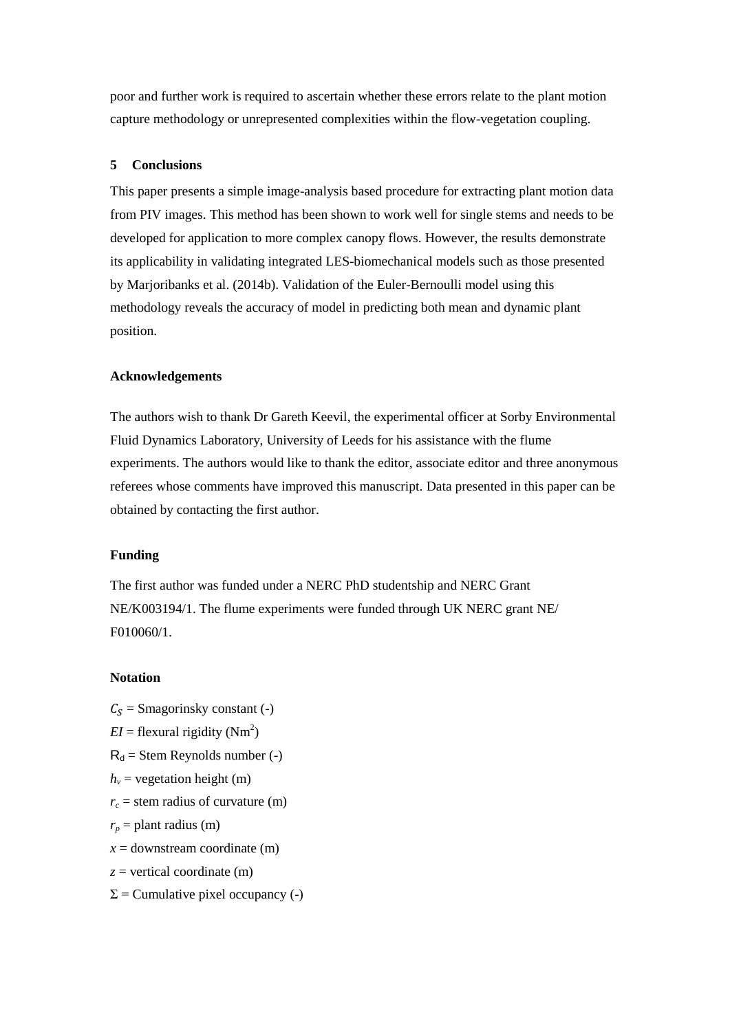poor and further work is required to ascertain whether these errors relate to the plant motion capture methodology or unrepresented complexities within the flow-vegetation coupling.

### **5 Conclusions**

This paper presents a simple image-analysis based procedure for extracting plant motion data from PIV images. This method has been shown to work well for single stems and needs to be developed for application to more complex canopy flows. However, the results demonstrate its applicability in validating integrated LES-biomechanical models such as those presented by Marjoribanks et al. (2014b). Validation of the Euler-Bernoulli model using this methodology reveals the accuracy of model in predicting both mean and dynamic plant position.

#### **Acknowledgements**

The authors wish to thank Dr Gareth Keevil, the experimental officer at Sorby Environmental Fluid Dynamics Laboratory, University of Leeds for his assistance with the flume experiments. The authors would like to thank the editor, associate editor and three anonymous referees whose comments have improved this manuscript. Data presented in this paper can be obtained by contacting the first author.

## **Funding**

The first author was funded under a NERC PhD studentship and NERC Grant NE/K003194/1. The flume experiments were funded through UK NERC grant NE/ F010060/1.

### **Notation**

- $C_s$  = Smagorinsky constant (-)
- $EI =$  flexural rigidity (Nm<sup>2</sup>)
- $R_d$  = Stem Reynolds number (-)
- $h_v$  = vegetation height (m)
- $r_c$  = stem radius of curvature (m)
- $r_p$  = plant radius (m)
- $x =$  downstream coordinate (m)
- *z* = vertical coordinate (m)
- $\Sigma$  = Cumulative pixel occupancy (-)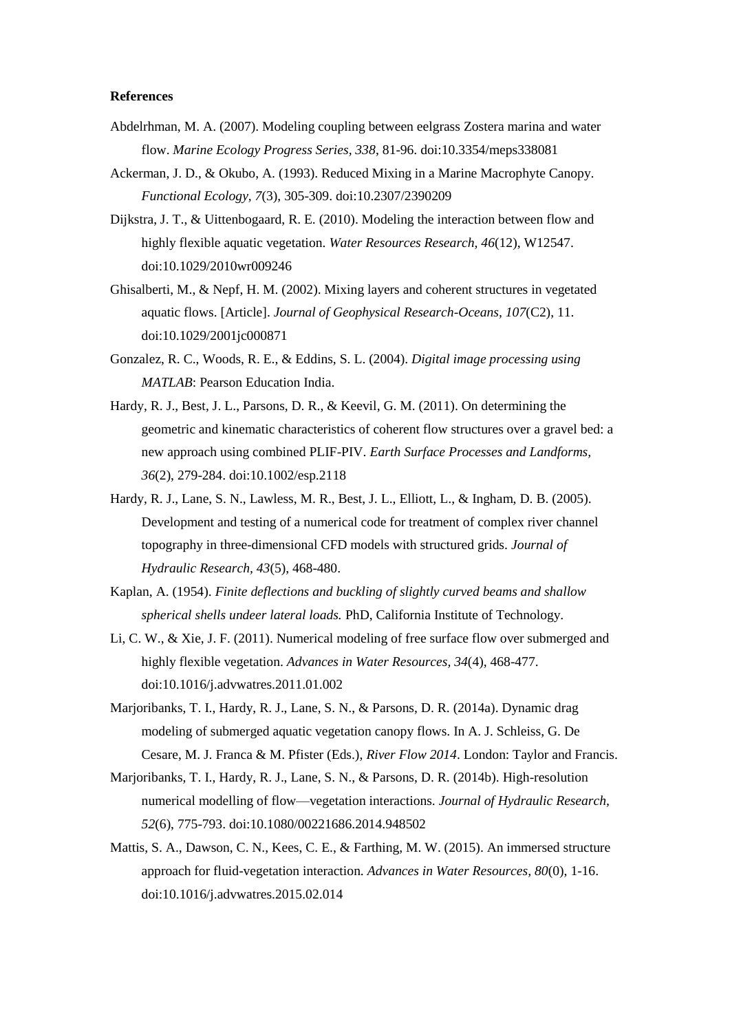#### **References**

- <span id="page-9-1"></span>Abdelrhman, M. A. (2007). Modeling coupling between eelgrass Zostera marina and water flow. *Marine Ecology Progress Series, 338*, 81-96. doi:10.3354/meps338081
- <span id="page-9-10"></span>Ackerman, J. D., & Okubo, A. (1993). Reduced Mixing in a Marine Macrophyte Canopy. *Functional Ecology, 7*(3), 305-309. doi:10.2307/2390209
- <span id="page-9-2"></span>Dijkstra, J. T., & Uittenbogaard, R. E. (2010). Modeling the interaction between flow and highly flexible aquatic vegetation. *Water Resources Research, 46*(12), W12547. doi:10.1029/2010wr009246
- <span id="page-9-11"></span>Ghisalberti, M., & Nepf, H. M. (2002). Mixing layers and coherent structures in vegetated aquatic flows. [Article]. *Journal of Geophysical Research-Oceans, 107*(C2), 11. doi:10.1029/2001jc000871
- <span id="page-9-7"></span>Gonzalez, R. C., Woods, R. E., & Eddins, S. L. (2004). *Digital image processing using MATLAB*: Pearson Education India.
- <span id="page-9-6"></span>Hardy, R. J., Best, J. L., Parsons, D. R., & Keevil, G. M. (2011). On determining the geometric and kinematic characteristics of coherent flow structures over a gravel bed: a new approach using combined PLIF-PIV. *Earth Surface Processes and Landforms, 36*(2), 279-284. doi:10.1002/esp.2118
- <span id="page-9-5"></span>Hardy, R. J., Lane, S. N., Lawless, M. R., Best, J. L., Elliott, L., & Ingham, D. B. (2005). Development and testing of a numerical code for treatment of complex river channel topography in three-dimensional CFD models with structured grids. *Journal of Hydraulic Research, 43*(5), 468-480.
- <span id="page-9-8"></span>Kaplan, A. (1954). *Finite deflections and buckling of slightly curved beams and shallow spherical shells undeer lateral loads.* PhD, California Institute of Technology.
- <span id="page-9-3"></span>Li, C. W., & Xie, J. F. (2011). Numerical modeling of free surface flow over submerged and highly flexible vegetation. *Advances in Water Resources, 34*(4), 468-477. doi:10.1016/j.advwatres.2011.01.002
- <span id="page-9-9"></span>Marjoribanks, T. I., Hardy, R. J., Lane, S. N., & Parsons, D. R. (2014a). Dynamic drag modeling of submerged aquatic vegetation canopy flows. In A. J. Schleiss, G. De Cesare, M. J. Franca & M. Pfister (Eds.), *River Flow 2014*. London: Taylor and Francis.
- <span id="page-9-0"></span>Marjoribanks, T. I., Hardy, R. J., Lane, S. N., & Parsons, D. R. (2014b). High-resolution numerical modelling of flow—vegetation interactions. *Journal of Hydraulic Research, 52*(6), 775-793. doi:10.1080/00221686.2014.948502
- <span id="page-9-4"></span>Mattis, S. A., Dawson, C. N., Kees, C. E., & Farthing, M. W. (2015). An immersed structure approach for fluid-vegetation interaction. *Advances in Water Resources, 80*(0), 1-16. doi:10.1016/j.advwatres.2015.02.014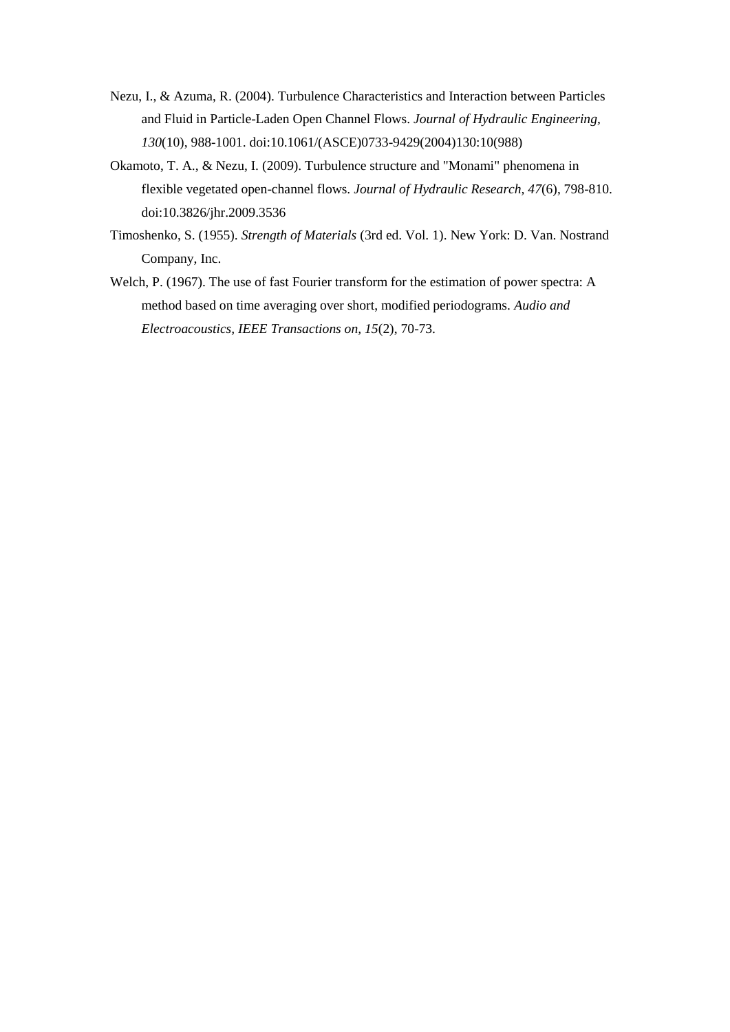- <span id="page-10-1"></span>Nezu, I., & Azuma, R. (2004). Turbulence Characteristics and Interaction between Particles and Fluid in Particle-Laden Open Channel Flows. *Journal of Hydraulic Engineering, 130*(10), 988-1001. doi:10.1061/(ASCE)0733-9429(2004)130:10(988)
- <span id="page-10-0"></span>Okamoto, T. A., & Nezu, I. (2009). Turbulence structure and "Monami" phenomena in flexible vegetated open-channel flows. *Journal of Hydraulic Research, 47*(6), 798-810. doi:10.3826/jhr.2009.3536
- <span id="page-10-2"></span>Timoshenko, S. (1955). *Strength of Materials* (3rd ed. Vol. 1). New York: D. Van. Nostrand Company, Inc.
- <span id="page-10-3"></span>Welch, P. (1967). The use of fast Fourier transform for the estimation of power spectra: A method based on time averaging over short, modified periodograms. *Audio and Electroacoustics, IEEE Transactions on, 15*(2), 70-73.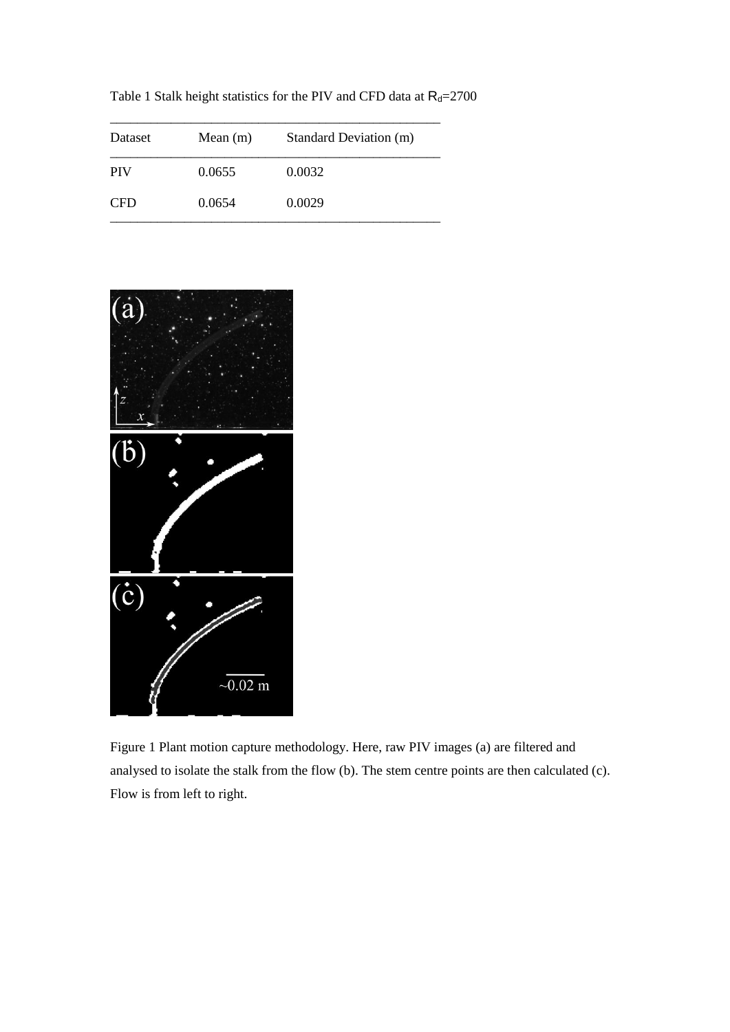Table 1 Stalk height statistics for the PIV and CFD data at  $R_d$ =2700

| Dataset    | Mean $(m)$ | Standard Deviation (m) |
|------------|------------|------------------------|
| <b>PIV</b> | 0.0655     | 0.0032                 |
| <b>CFD</b> | 0.0654     | 0.0029                 |



Figure 1 Plant motion capture methodology. Here, raw PIV images (a) are filtered and analysed to isolate the stalk from the flow (b). The stem centre points are then calculated (c). Flow is from left to right.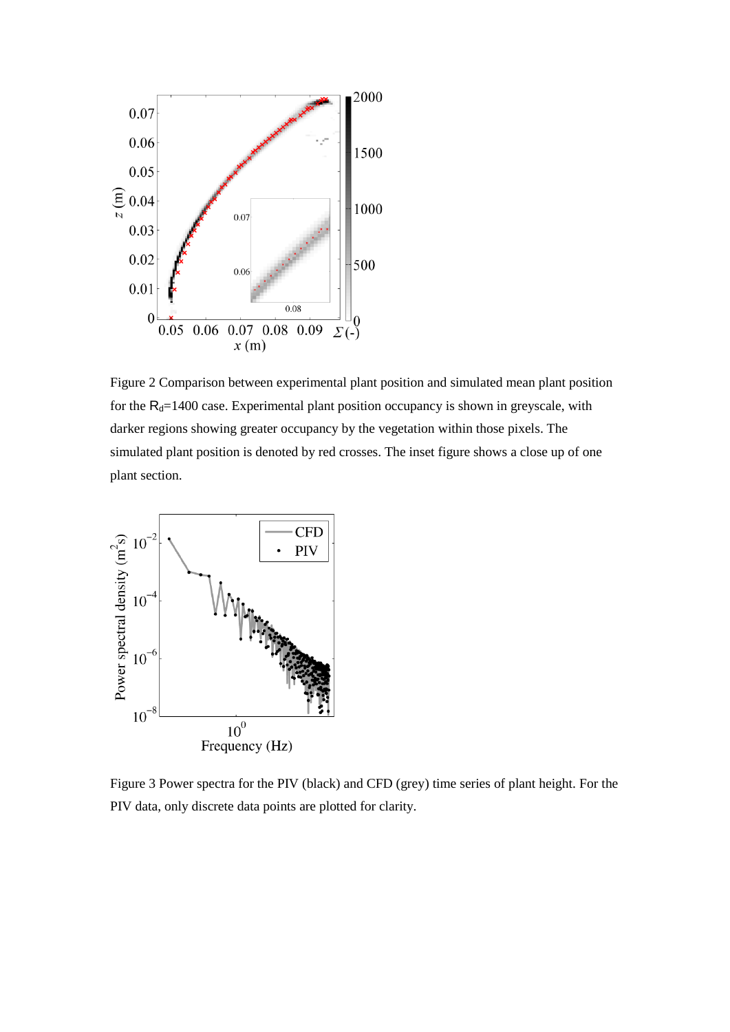

Figure 2 Comparison between experimental plant position and simulated mean plant position for the  $R_d$ =1400 case. Experimental plant position occupancy is shown in greyscale, with darker regions showing greater occupancy by the vegetation within those pixels. The simulated plant position is denoted by red crosses. The inset figure shows a close up of one plant section.

![](_page_12_Figure_2.jpeg)

Figure 3 Power spectra for the PIV (black) and CFD (grey) time series of plant height. For the PIV data, only discrete data points are plotted for clarity.